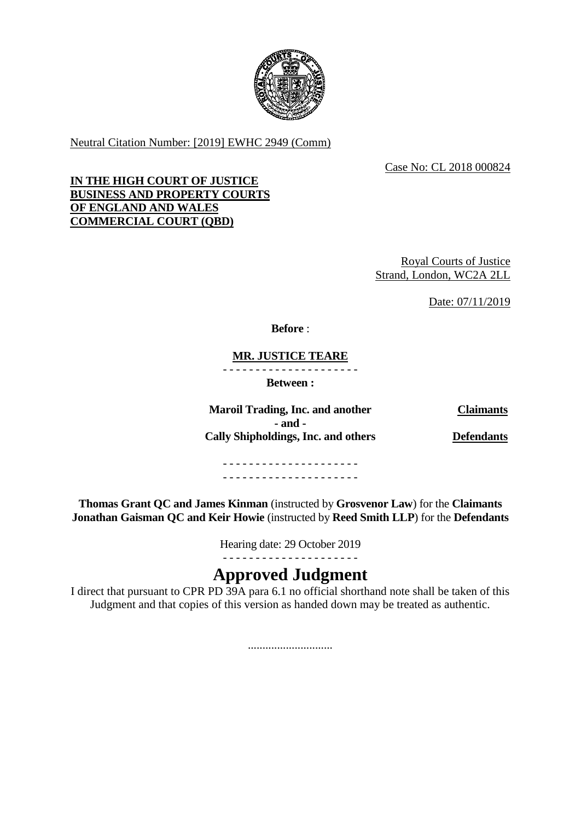

Neutral Citation Number: [2019] EWHC 2949 (Comm)

Case No: CL 2018 000824

## **IN THE HIGH COURT OF JUSTICE BUSINESS AND PROPERTY COURTS OF ENGLAND AND WALES COMMERCIAL COURT (QBD)**

Royal Courts of Justice Strand, London, WC2A 2LL

Date: 07/11/2019

**Before** :

**MR. JUSTICE TEARE**

- - - - - - - - - - - - - - - - - - - - -

**Between :**

**Maroil Trading, Inc. and another Claimants - and - Cally Shipholdings, Inc. and others Defendants**

- - - - - - - - - - - - - - - - - - - - - - - - - - - - - - - - - - - - - - - - - -

**Thomas Grant QC and James Kinman** (instructed by **Grosvenor Law**) for the **Claimants Jonathan Gaisman QC and Keir Howie** (instructed by **Reed Smith LLP**) for the **Defendants**

Hearing date: 29 October 2019

# - - - - - - - - - - - - - - - - - - - - - **Approved Judgment**

I direct that pursuant to CPR PD  $\overline{39A}$  para 6.1 no official shorthand note shall be taken of this Judgment and that copies of this version as handed down may be treated as authentic.

.............................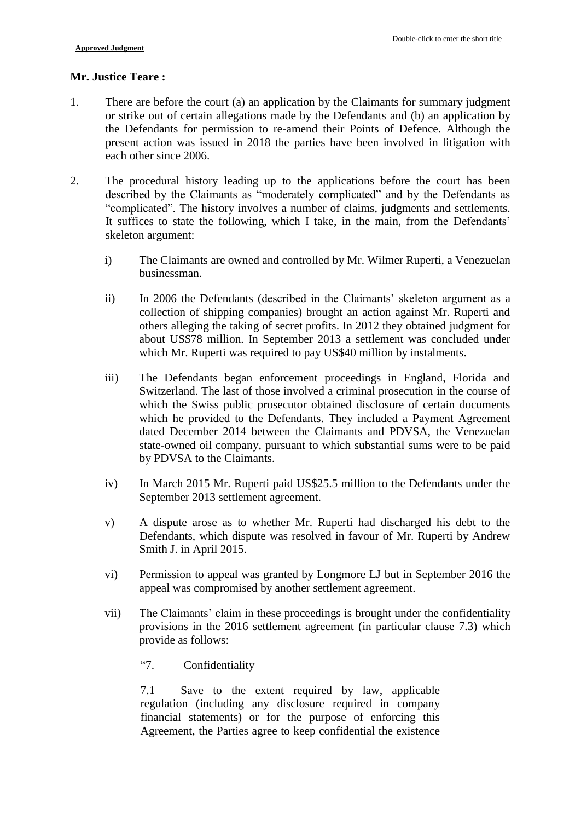### **Mr. Justice Teare :**

- 1. There are before the court (a) an application by the Claimants for summary judgment or strike out of certain allegations made by the Defendants and (b) an application by the Defendants for permission to re-amend their Points of Defence. Although the present action was issued in 2018 the parties have been involved in litigation with each other since 2006.
- 2. The procedural history leading up to the applications before the court has been described by the Claimants as "moderately complicated" and by the Defendants as "complicated". The history involves a number of claims, judgments and settlements. It suffices to state the following, which I take, in the main, from the Defendants' skeleton argument:
	- i) The Claimants are owned and controlled by Mr. Wilmer Ruperti, a Venezuelan businessman.
	- ii) In 2006 the Defendants (described in the Claimants' skeleton argument as a collection of shipping companies) brought an action against Mr. Ruperti and others alleging the taking of secret profits. In 2012 they obtained judgment for about US\$78 million. In September 2013 a settlement was concluded under which Mr. Ruperti was required to pay US\$40 million by instalments.
	- iii) The Defendants began enforcement proceedings in England, Florida and Switzerland. The last of those involved a criminal prosecution in the course of which the Swiss public prosecutor obtained disclosure of certain documents which he provided to the Defendants. They included a Payment Agreement dated December 2014 between the Claimants and PDVSA, the Venezuelan state-owned oil company, pursuant to which substantial sums were to be paid by PDVSA to the Claimants.
	- iv) In March 2015 Mr. Ruperti paid US\$25.5 million to the Defendants under the September 2013 settlement agreement.
	- v) A dispute arose as to whether Mr. Ruperti had discharged his debt to the Defendants, which dispute was resolved in favour of Mr. Ruperti by Andrew Smith J. in April 2015.
	- vi) Permission to appeal was granted by Longmore LJ but in September 2016 the appeal was compromised by another settlement agreement.
	- vii) The Claimants' claim in these proceedings is brought under the confidentiality provisions in the 2016 settlement agreement (in particular clause 7.3) which provide as follows:
		- "7. Confidentiality

7.1 Save to the extent required by law, applicable regulation (including any disclosure required in company financial statements) or for the purpose of enforcing this Agreement, the Parties agree to keep confidential the existence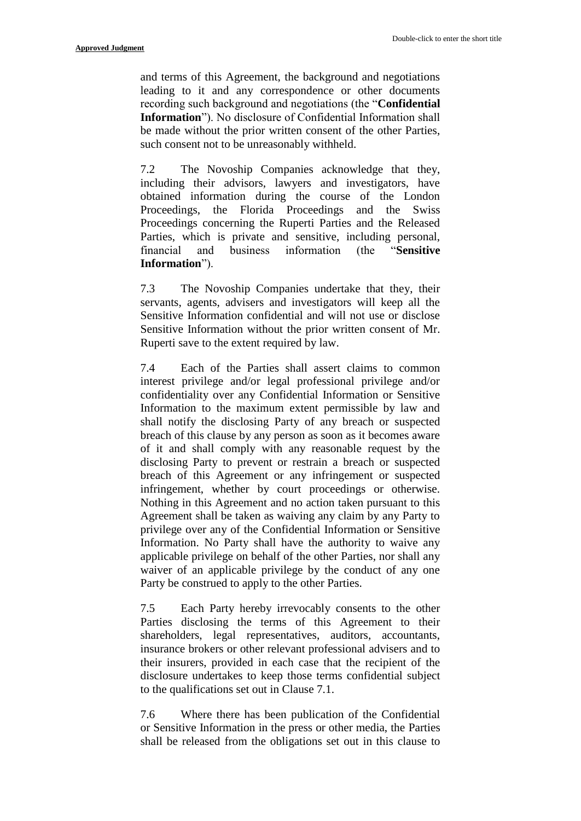and terms of this Agreement, the background and negotiations leading to it and any correspondence or other documents recording such background and negotiations (the "**Confidential Information**"). No disclosure of Confidential Information shall be made without the prior written consent of the other Parties, such consent not to be unreasonably withheld.

7.2 The Novoship Companies acknowledge that they, including their advisors, lawyers and investigators, have obtained information during the course of the London Proceedings, the Florida Proceedings and the Swiss Proceedings concerning the Ruperti Parties and the Released Parties, which is private and sensitive, including personal, financial and business information (the "**Sensitive Information**").

7.3 The Novoship Companies undertake that they, their servants, agents, advisers and investigators will keep all the Sensitive Information confidential and will not use or disclose Sensitive Information without the prior written consent of Mr. Ruperti save to the extent required by law.

7.4 Each of the Parties shall assert claims to common interest privilege and/or legal professional privilege and/or confidentiality over any Confidential Information or Sensitive Information to the maximum extent permissible by law and shall notify the disclosing Party of any breach or suspected breach of this clause by any person as soon as it becomes aware of it and shall comply with any reasonable request by the disclosing Party to prevent or restrain a breach or suspected breach of this Agreement or any infringement or suspected infringement, whether by court proceedings or otherwise. Nothing in this Agreement and no action taken pursuant to this Agreement shall be taken as waiving any claim by any Party to privilege over any of the Confidential Information or Sensitive Information. No Party shall have the authority to waive any applicable privilege on behalf of the other Parties, nor shall any waiver of an applicable privilege by the conduct of any one Party be construed to apply to the other Parties.

7.5 Each Party hereby irrevocably consents to the other Parties disclosing the terms of this Agreement to their shareholders, legal representatives, auditors, accountants, insurance brokers or other relevant professional advisers and to their insurers, provided in each case that the recipient of the disclosure undertakes to keep those terms confidential subject to the qualifications set out in Clause 7.1.

7.6 Where there has been publication of the Confidential or Sensitive Information in the press or other media, the Parties shall be released from the obligations set out in this clause to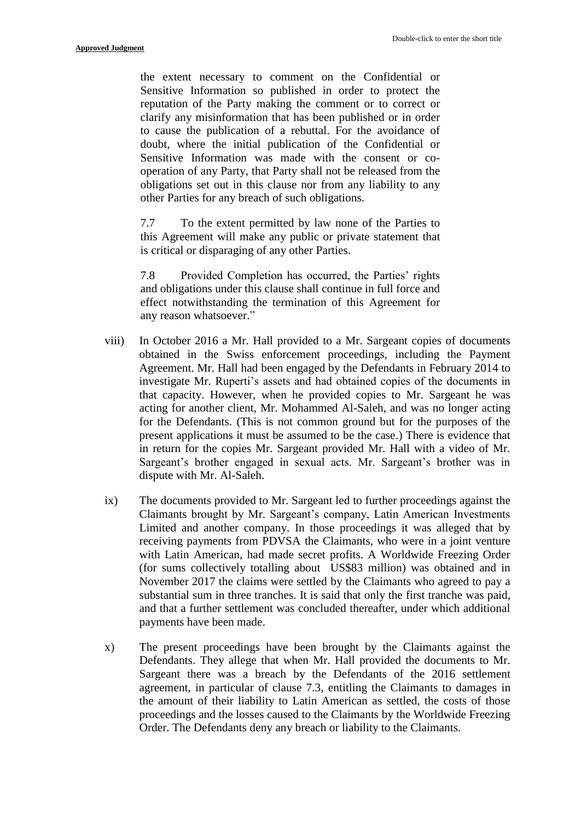the extent necessary to comment on the Confidential or Sensitive Information so published in order to protect the reputation of the Party making the comment or to correct or clarify any misinformation that has been published or in order to cause the publication of a rebuttal. For the avoidance of doubt, where the initial publication of the Confidential or Sensitive Information was made with the consent or cooperation of any Party, that Party shall not be released from the obligations set out in this clause nor from any liability to any other Parties for any breach of such obligations.

7.7 To the extent permitted by law none of the Parties to this Agreement will make any public or private statement that is critical or disparaging of any other Parties.

7.8 Provided Completion has occurred, the Parties' rights and obligations under this clause shall continue in full force and effect notwithstanding the termination of this Agreement for any reason whatsoever."

- viii) In October 2016 a Mr. Hall provided to a Mr. Sargeant copies of documents obtained in the Swiss enforcement proceedings, including the Payment Agreement. Mr. Hall had been engaged by the Defendants in February 2014 to investigate Mr. Ruperti's assets and had obtained copies of the documents in that capacity. However, when he provided copies to Mr. Sargeant he was acting for another client, Mr. Mohammed Al-Saleh, and was no longer acting for the Defendants. (This is not common ground but for the purposes of the present applications it must be assumed to be the case.) There is evidence that in return for the copies Mr. Sargeant provided Mr. Hall with a video of Mr. Sargeant's brother engaged in sexual acts. Mr. Sargeant's brother was in dispute with Mr. Al-Saleh.
- ix) The documents provided to Mr. Sargeant led to further proceedings against the Claimants brought by Mr. Sargeant's company, Latin American Investments Limited and another company. In those proceedings it was alleged that by receiving payments from PDVSA the Claimants, who were in a joint venture with Latin American, had made secret profits. A Worldwide Freezing Order (for sums collectively totalling about US\$83 million) was obtained and in November 2017 the claims were settled by the Claimants who agreed to pay a substantial sum in three tranches. It is said that only the first tranche was paid, and that a further settlement was concluded thereafter, under which additional payments have been made.
- x) The present proceedings have been brought by the Claimants against the Defendants. They allege that when Mr. Hall provided the documents to Mr. Sargeant there was a breach by the Defendants of the 2016 settlement agreement, in particular of clause 7.3, entitling the Claimants to damages in the amount of their liability to Latin American as settled, the costs of those proceedings and the losses caused to the Claimants by the Worldwide Freezing Order. The Defendants deny any breach or liability to the Claimants.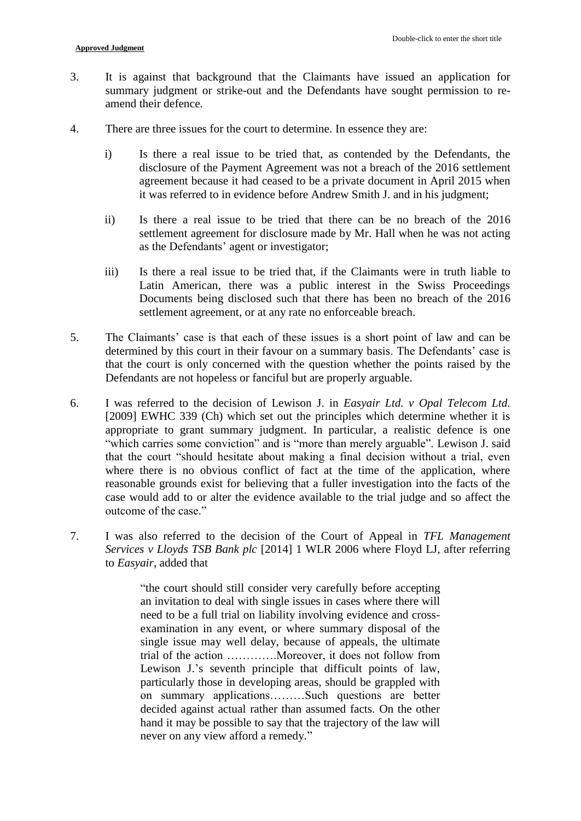- 3. It is against that background that the Claimants have issued an application for summary judgment or strike-out and the Defendants have sought permission to reamend their defence.
- 4. There are three issues for the court to determine. In essence they are:
	- i) Is there a real issue to be tried that, as contended by the Defendants, the disclosure of the Payment Agreement was not a breach of the 2016 settlement agreement because it had ceased to be a private document in April 2015 when it was referred to in evidence before Andrew Smith J. and in his judgment;
	- ii) Is there a real issue to be tried that there can be no breach of the 2016 settlement agreement for disclosure made by Mr. Hall when he was not acting as the Defendants' agent or investigator;
	- iii) Is there a real issue to be tried that, if the Claimants were in truth liable to Latin American, there was a public interest in the Swiss Proceedings Documents being disclosed such that there has been no breach of the 2016 settlement agreement, or at any rate no enforceable breach.
- 5. The Claimants' case is that each of these issues is a short point of law and can be determined by this court in their favour on a summary basis. The Defendants' case is that the court is only concerned with the question whether the points raised by the Defendants are not hopeless or fanciful but are properly arguable.
- 6. I was referred to the decision of Lewison J. in *Easyair Ltd. v Opal Telecom Ltd.* [2009] EWHC 339 (Ch) which set out the principles which determine whether it is appropriate to grant summary judgment. In particular, a realistic defence is one "which carries some conviction" and is "more than merely arguable". Lewison J. said that the court "should hesitate about making a final decision without a trial, even where there is no obvious conflict of fact at the time of the application, where reasonable grounds exist for believing that a fuller investigation into the facts of the case would add to or alter the evidence available to the trial judge and so affect the outcome of the case."
- 7. I was also referred to the decision of the Court of Appeal in *TFL Management Services v Lloyds TSB Bank plc* [2014] 1 WLR 2006 where Floyd LJ, after referring to *Easyair*, added that

"the court should still consider very carefully before accepting an invitation to deal with single issues in cases where there will need to be a full trial on liability involving evidence and crossexamination in any event, or where summary disposal of the single issue may well delay, because of appeals, the ultimate trial of the action ………….Moreover, it does not follow from Lewison J.'s seventh principle that difficult points of law, particularly those in developing areas, should be grappled with on summary applications………Such questions are better decided against actual rather than assumed facts. On the other hand it may be possible to say that the trajectory of the law will never on any view afford a remedy."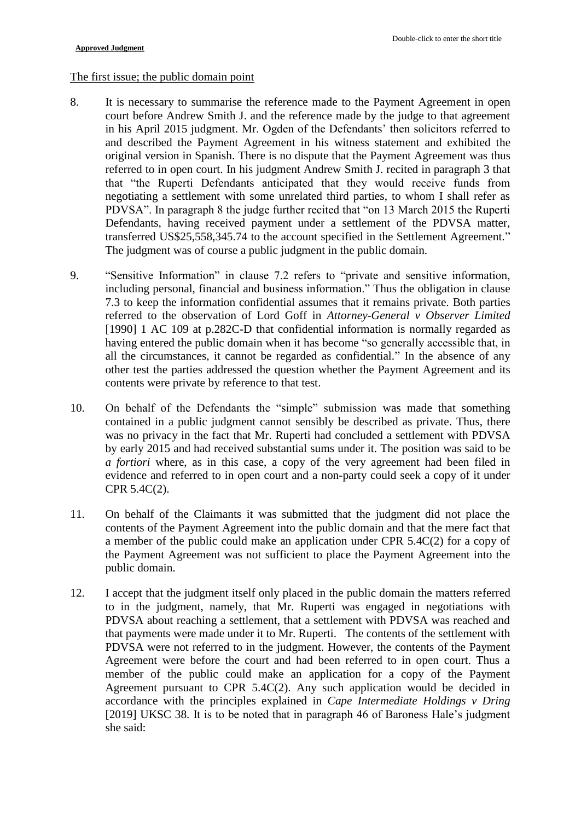#### The first issue; the public domain point

- 8. It is necessary to summarise the reference made to the Payment Agreement in open court before Andrew Smith J. and the reference made by the judge to that agreement in his April 2015 judgment. Mr. Ogden of the Defendants' then solicitors referred to and described the Payment Agreement in his witness statement and exhibited the original version in Spanish. There is no dispute that the Payment Agreement was thus referred to in open court. In his judgment Andrew Smith J. recited in paragraph 3 that that "the Ruperti Defendants anticipated that they would receive funds from negotiating a settlement with some unrelated third parties, to whom I shall refer as PDVSA". In paragraph 8 the judge further recited that "on 13 March 2015 the Ruperti Defendants, having received payment under a settlement of the PDVSA matter, transferred US\$25,558,345.74 to the account specified in the Settlement Agreement." The judgment was of course a public judgment in the public domain.
- 9. "Sensitive Information" in clause 7.2 refers to "private and sensitive information, including personal, financial and business information." Thus the obligation in clause 7.3 to keep the information confidential assumes that it remains private. Both parties referred to the observation of Lord Goff in *Attorney-General v Observer Limited* [1990] 1 AC 109 at p.282C-D that confidential information is normally regarded as having entered the public domain when it has become "so generally accessible that, in all the circumstances, it cannot be regarded as confidential." In the absence of any other test the parties addressed the question whether the Payment Agreement and its contents were private by reference to that test.
- 10. On behalf of the Defendants the "simple" submission was made that something contained in a public judgment cannot sensibly be described as private. Thus, there was no privacy in the fact that Mr. Ruperti had concluded a settlement with PDVSA by early 2015 and had received substantial sums under it. The position was said to be *a fortiori* where, as in this case, a copy of the very agreement had been filed in evidence and referred to in open court and a non-party could seek a copy of it under CPR 5.4C(2).
- 11. On behalf of the Claimants it was submitted that the judgment did not place the contents of the Payment Agreement into the public domain and that the mere fact that a member of the public could make an application under CPR 5.4C(2) for a copy of the Payment Agreement was not sufficient to place the Payment Agreement into the public domain.
- 12. I accept that the judgment itself only placed in the public domain the matters referred to in the judgment, namely, that Mr. Ruperti was engaged in negotiations with PDVSA about reaching a settlement, that a settlement with PDVSA was reached and that payments were made under it to Mr. Ruperti. The contents of the settlement with PDVSA were not referred to in the judgment. However, the contents of the Payment Agreement were before the court and had been referred to in open court. Thus a member of the public could make an application for a copy of the Payment Agreement pursuant to CPR 5.4C(2). Any such application would be decided in accordance with the principles explained in *Cape Intermediate Holdings v Dring* [2019] UKSC 38. It is to be noted that in paragraph 46 of Baroness Hale's judgment she said: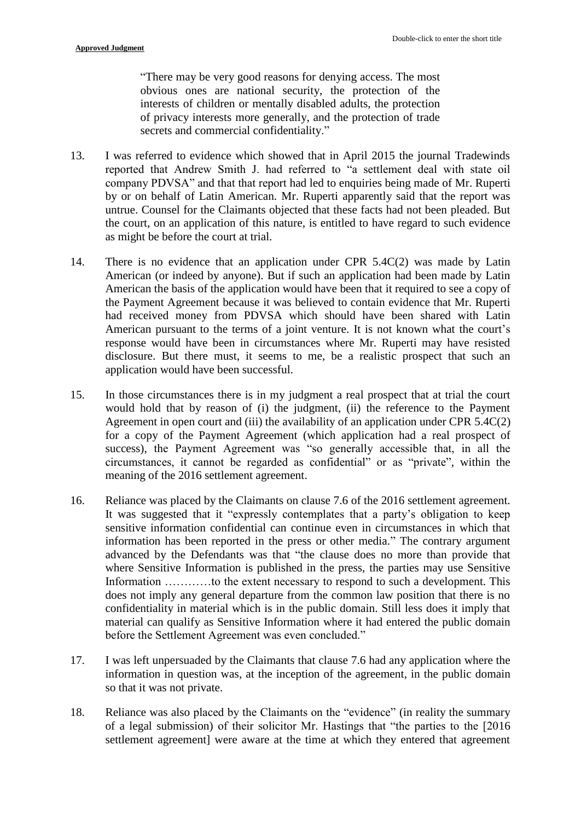"There may be very good reasons for denying access. The most obvious ones are national security, the protection of the interests of children or mentally disabled adults, the protection of privacy interests more generally, and the protection of trade secrets and commercial confidentiality."

- 13. I was referred to evidence which showed that in April 2015 the journal Tradewinds reported that Andrew Smith J. had referred to "a settlement deal with state oil company PDVSA" and that that report had led to enquiries being made of Mr. Ruperti by or on behalf of Latin American. Mr. Ruperti apparently said that the report was untrue. Counsel for the Claimants objected that these facts had not been pleaded. But the court, on an application of this nature, is entitled to have regard to such evidence as might be before the court at trial.
- 14. There is no evidence that an application under CPR 5.4C(2) was made by Latin American (or indeed by anyone). But if such an application had been made by Latin American the basis of the application would have been that it required to see a copy of the Payment Agreement because it was believed to contain evidence that Mr. Ruperti had received money from PDVSA which should have been shared with Latin American pursuant to the terms of a joint venture. It is not known what the court's response would have been in circumstances where Mr. Ruperti may have resisted disclosure. But there must, it seems to me, be a realistic prospect that such an application would have been successful.
- 15. In those circumstances there is in my judgment a real prospect that at trial the court would hold that by reason of (i) the judgment, (ii) the reference to the Payment Agreement in open court and (iii) the availability of an application under CPR 5.4C(2) for a copy of the Payment Agreement (which application had a real prospect of success), the Payment Agreement was "so generally accessible that, in all the circumstances, it cannot be regarded as confidential" or as "private", within the meaning of the 2016 settlement agreement.
- 16. Reliance was placed by the Claimants on clause 7.6 of the 2016 settlement agreement. It was suggested that it "expressly contemplates that a party's obligation to keep sensitive information confidential can continue even in circumstances in which that information has been reported in the press or other media." The contrary argument advanced by the Defendants was that "the clause does no more than provide that where Sensitive Information is published in the press, the parties may use Sensitive Information …………to the extent necessary to respond to such a development. This does not imply any general departure from the common law position that there is no confidentiality in material which is in the public domain. Still less does it imply that material can qualify as Sensitive Information where it had entered the public domain before the Settlement Agreement was even concluded."
- 17. I was left unpersuaded by the Claimants that clause 7.6 had any application where the information in question was, at the inception of the agreement, in the public domain so that it was not private.
- 18. Reliance was also placed by the Claimants on the "evidence" (in reality the summary of a legal submission) of their solicitor Mr. Hastings that "the parties to the [2016 settlement agreement] were aware at the time at which they entered that agreement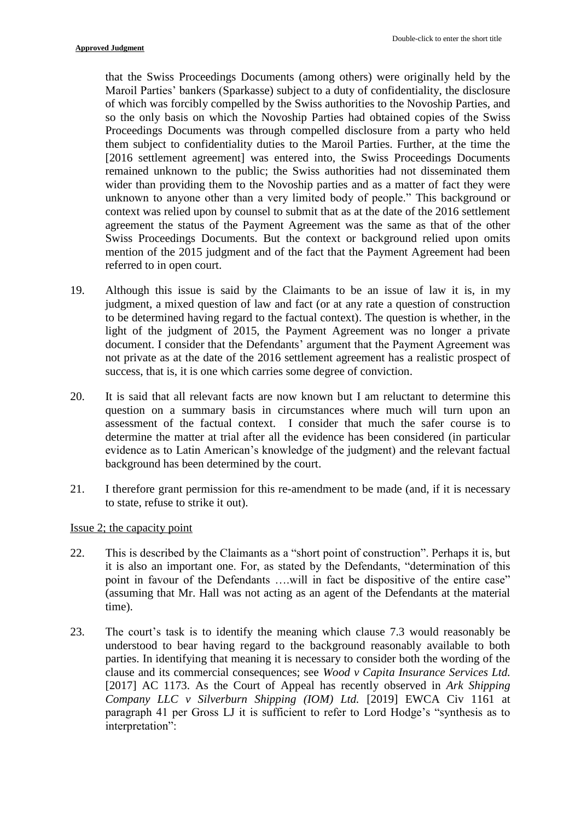that the Swiss Proceedings Documents (among others) were originally held by the Maroil Parties' bankers (Sparkasse) subject to a duty of confidentiality, the disclosure of which was forcibly compelled by the Swiss authorities to the Novoship Parties, and so the only basis on which the Novoship Parties had obtained copies of the Swiss Proceedings Documents was through compelled disclosure from a party who held them subject to confidentiality duties to the Maroil Parties. Further, at the time the [2016 settlement agreement] was entered into, the Swiss Proceedings Documents remained unknown to the public; the Swiss authorities had not disseminated them wider than providing them to the Novoship parties and as a matter of fact they were unknown to anyone other than a very limited body of people." This background or context was relied upon by counsel to submit that as at the date of the 2016 settlement agreement the status of the Payment Agreement was the same as that of the other Swiss Proceedings Documents. But the context or background relied upon omits mention of the 2015 judgment and of the fact that the Payment Agreement had been referred to in open court.

- 19. Although this issue is said by the Claimants to be an issue of law it is, in my judgment, a mixed question of law and fact (or at any rate a question of construction to be determined having regard to the factual context). The question is whether, in the light of the judgment of 2015, the Payment Agreement was no longer a private document. I consider that the Defendants' argument that the Payment Agreement was not private as at the date of the 2016 settlement agreement has a realistic prospect of success, that is, it is one which carries some degree of conviction.
- 20. It is said that all relevant facts are now known but I am reluctant to determine this question on a summary basis in circumstances where much will turn upon an assessment of the factual context. I consider that much the safer course is to determine the matter at trial after all the evidence has been considered (in particular evidence as to Latin American's knowledge of the judgment) and the relevant factual background has been determined by the court.
- 21. I therefore grant permission for this re-amendment to be made (and, if it is necessary to state, refuse to strike it out).

## Issue 2; the capacity point

- 22. This is described by the Claimants as a "short point of construction". Perhaps it is, but it is also an important one. For, as stated by the Defendants, "determination of this point in favour of the Defendants ….will in fact be dispositive of the entire case" (assuming that Mr. Hall was not acting as an agent of the Defendants at the material time).
- 23. The court's task is to identify the meaning which clause 7.3 would reasonably be understood to bear having regard to the background reasonably available to both parties. In identifying that meaning it is necessary to consider both the wording of the clause and its commercial consequences; see *Wood v Capita Insurance Services Ltd.* [2017] AC 1173. As the Court of Appeal has recently observed in *Ark Shipping Company LLC v Silverburn Shipping (IOM) Ltd.* [2019] EWCA Civ 1161 at paragraph 41 per Gross LJ it is sufficient to refer to Lord Hodge's "synthesis as to interpretation":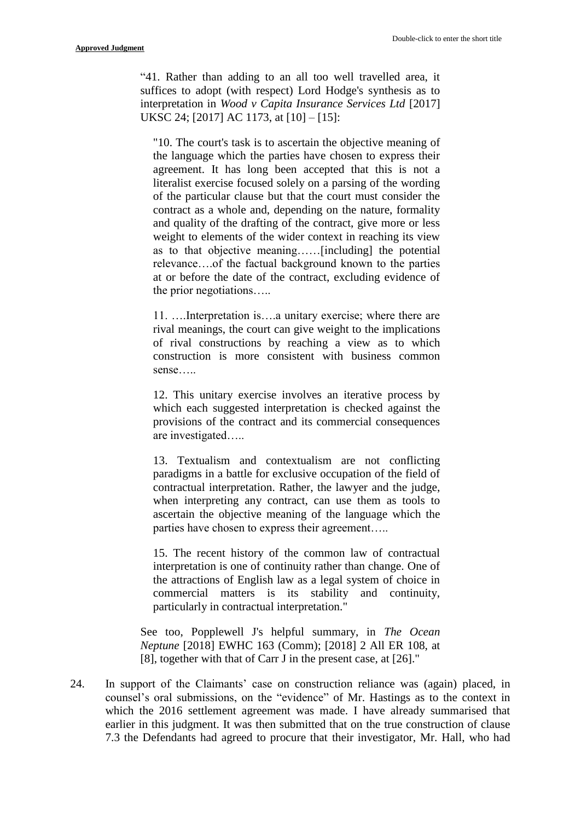"41. Rather than adding to an all too well travelled area, it suffices to adopt (with respect) Lord Hodge's synthesis as to interpretation in *Wood v Capita Insurance Services Ltd* [2017] UKSC 24; [2017] AC 1173, at [10] – [15]:

"10. The court's task is to ascertain the objective meaning of the language which the parties have chosen to express their agreement. It has long been accepted that this is not a literalist exercise focused solely on a parsing of the wording of the particular clause but that the court must consider the contract as a whole and, depending on the nature, formality and quality of the drafting of the contract, give more or less weight to elements of the wider context in reaching its view as to that objective meaning……[including] the potential relevance….of the factual background known to the parties at or before the date of the contract, excluding evidence of the prior negotiations…..

11. ….Interpretation is….a unitary exercise; where there are rival meanings, the court can give weight to the implications of rival constructions by reaching a view as to which construction is more consistent with business common sense…..

12. This unitary exercise involves an iterative process by which each suggested interpretation is checked against the provisions of the contract and its commercial consequences are investigated…..

13. Textualism and contextualism are not conflicting paradigms in a battle for exclusive occupation of the field of contractual interpretation. Rather, the lawyer and the judge, when interpreting any contract, can use them as tools to ascertain the objective meaning of the language which the parties have chosen to express their agreement…..

15. The recent history of the common law of contractual interpretation is one of continuity rather than change. One of the attractions of English law as a legal system of choice in commercial matters is its stability and continuity, particularly in contractual interpretation."

See too, Popplewell J's helpful summary, in *The Ocean Neptune* [2018] EWHC 163 (Comm); [2018] 2 All ER 108, at [8], together with that of Carr J in the present case, at [26]."

24. In support of the Claimants' case on construction reliance was (again) placed, in counsel's oral submissions, on the "evidence" of Mr. Hastings as to the context in which the 2016 settlement agreement was made. I have already summarised that earlier in this judgment. It was then submitted that on the true construction of clause 7.3 the Defendants had agreed to procure that their investigator, Mr. Hall, who had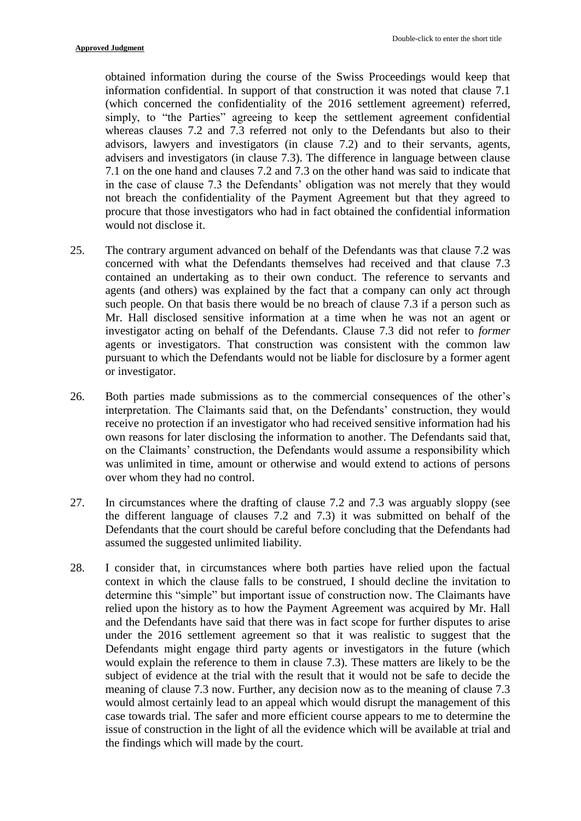obtained information during the course of the Swiss Proceedings would keep that information confidential. In support of that construction it was noted that clause 7.1 (which concerned the confidentiality of the 2016 settlement agreement) referred, simply, to "the Parties" agreeing to keep the settlement agreement confidential whereas clauses 7.2 and 7.3 referred not only to the Defendants but also to their advisors, lawyers and investigators (in clause 7.2) and to their servants, agents, advisers and investigators (in clause 7.3). The difference in language between clause 7.1 on the one hand and clauses 7.2 and 7.3 on the other hand was said to indicate that in the case of clause 7.3 the Defendants' obligation was not merely that they would not breach the confidentiality of the Payment Agreement but that they agreed to procure that those investigators who had in fact obtained the confidential information would not disclose it.

- 25. The contrary argument advanced on behalf of the Defendants was that clause 7.2 was concerned with what the Defendants themselves had received and that clause 7.3 contained an undertaking as to their own conduct. The reference to servants and agents (and others) was explained by the fact that a company can only act through such people. On that basis there would be no breach of clause 7.3 if a person such as Mr. Hall disclosed sensitive information at a time when he was not an agent or investigator acting on behalf of the Defendants. Clause 7.3 did not refer to *former* agents or investigators. That construction was consistent with the common law pursuant to which the Defendants would not be liable for disclosure by a former agent or investigator.
- 26. Both parties made submissions as to the commercial consequences of the other's interpretation. The Claimants said that, on the Defendants' construction, they would receive no protection if an investigator who had received sensitive information had his own reasons for later disclosing the information to another. The Defendants said that, on the Claimants' construction, the Defendants would assume a responsibility which was unlimited in time, amount or otherwise and would extend to actions of persons over whom they had no control.
- 27. In circumstances where the drafting of clause 7.2 and 7.3 was arguably sloppy (see the different language of clauses 7.2 and 7.3) it was submitted on behalf of the Defendants that the court should be careful before concluding that the Defendants had assumed the suggested unlimited liability.
- 28. I consider that, in circumstances where both parties have relied upon the factual context in which the clause falls to be construed, I should decline the invitation to determine this "simple" but important issue of construction now. The Claimants have relied upon the history as to how the Payment Agreement was acquired by Mr. Hall and the Defendants have said that there was in fact scope for further disputes to arise under the 2016 settlement agreement so that it was realistic to suggest that the Defendants might engage third party agents or investigators in the future (which would explain the reference to them in clause 7.3). These matters are likely to be the subject of evidence at the trial with the result that it would not be safe to decide the meaning of clause 7.3 now. Further, any decision now as to the meaning of clause 7.3 would almost certainly lead to an appeal which would disrupt the management of this case towards trial. The safer and more efficient course appears to me to determine the issue of construction in the light of all the evidence which will be available at trial and the findings which will made by the court.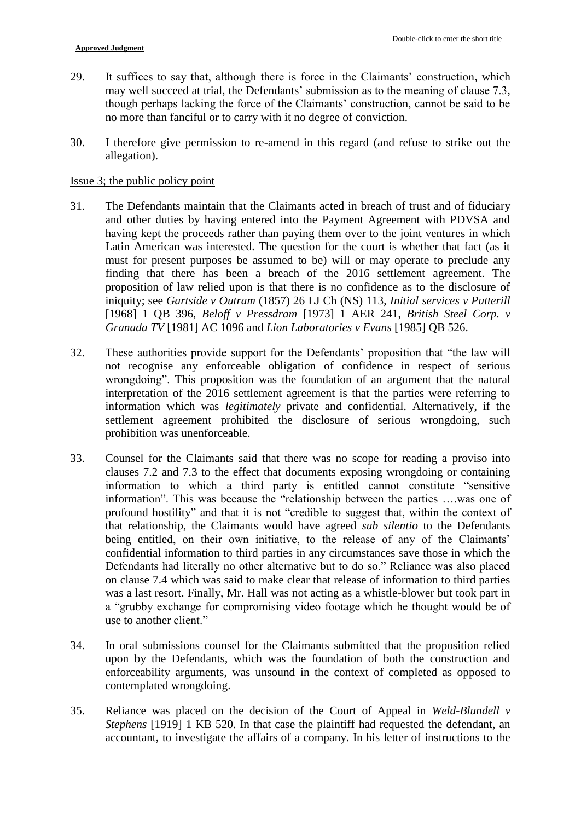- 29. It suffices to say that, although there is force in the Claimants' construction, which may well succeed at trial, the Defendants' submission as to the meaning of clause 7.3, though perhaps lacking the force of the Claimants' construction, cannot be said to be no more than fanciful or to carry with it no degree of conviction.
- 30. I therefore give permission to re-amend in this regard (and refuse to strike out the allegation).

#### Issue 3; the public policy point

- 31. The Defendants maintain that the Claimants acted in breach of trust and of fiduciary and other duties by having entered into the Payment Agreement with PDVSA and having kept the proceeds rather than paying them over to the joint ventures in which Latin American was interested. The question for the court is whether that fact (as it must for present purposes be assumed to be) will or may operate to preclude any finding that there has been a breach of the 2016 settlement agreement. The proposition of law relied upon is that there is no confidence as to the disclosure of iniquity; see *Gartside v Outram* (1857) 26 LJ Ch (NS) 113, *Initial services v Putterill* [1968] 1 QB 396, *Beloff v Pressdram* [1973] 1 AER 241, *British Steel Corp. v Granada TV* [1981] AC 1096 and *Lion Laboratories v Evans* [1985] QB 526.
- 32. These authorities provide support for the Defendants' proposition that "the law will not recognise any enforceable obligation of confidence in respect of serious wrongdoing". This proposition was the foundation of an argument that the natural interpretation of the 2016 settlement agreement is that the parties were referring to information which was *legitimately* private and confidential. Alternatively, if the settlement agreement prohibited the disclosure of serious wrongdoing, such prohibition was unenforceable.
- 33. Counsel for the Claimants said that there was no scope for reading a proviso into clauses 7.2 and 7.3 to the effect that documents exposing wrongdoing or containing information to which a third party is entitled cannot constitute "sensitive information". This was because the "relationship between the parties ….was one of profound hostility" and that it is not "credible to suggest that, within the context of that relationship, the Claimants would have agreed *sub silentio* to the Defendants being entitled, on their own initiative, to the release of any of the Claimants' confidential information to third parties in any circumstances save those in which the Defendants had literally no other alternative but to do so." Reliance was also placed on clause 7.4 which was said to make clear that release of information to third parties was a last resort. Finally, Mr. Hall was not acting as a whistle-blower but took part in a "grubby exchange for compromising video footage which he thought would be of use to another client."
- 34. In oral submissions counsel for the Claimants submitted that the proposition relied upon by the Defendants, which was the foundation of both the construction and enforceability arguments, was unsound in the context of completed as opposed to contemplated wrongdoing.
- 35. Reliance was placed on the decision of the Court of Appeal in *Weld-Blundell v Stephens* [1919] 1 KB 520. In that case the plaintiff had requested the defendant, an accountant, to investigate the affairs of a company. In his letter of instructions to the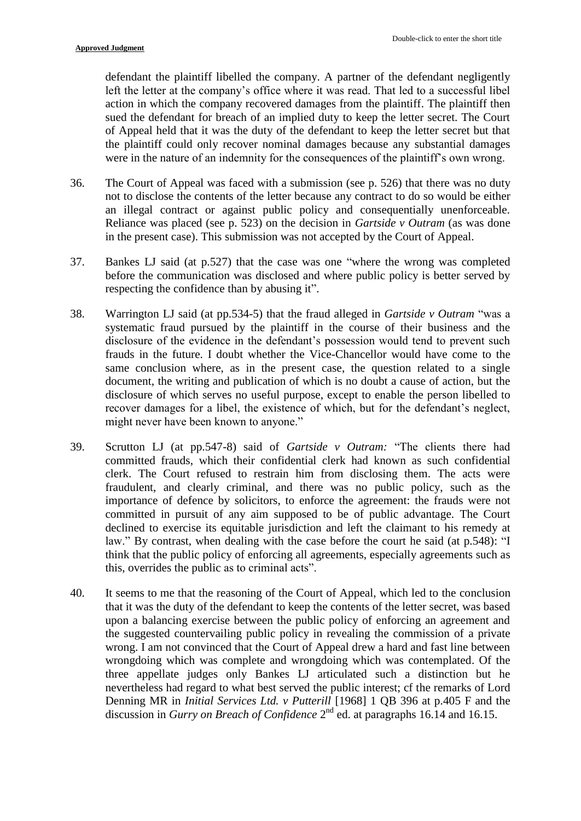defendant the plaintiff libelled the company. A partner of the defendant negligently left the letter at the company's office where it was read. That led to a successful libel action in which the company recovered damages from the plaintiff. The plaintiff then sued the defendant for breach of an implied duty to keep the letter secret. The Court of Appeal held that it was the duty of the defendant to keep the letter secret but that the plaintiff could only recover nominal damages because any substantial damages were in the nature of an indemnity for the consequences of the plaintiff's own wrong.

- 36. The Court of Appeal was faced with a submission (see p. 526) that there was no duty not to disclose the contents of the letter because any contract to do so would be either an illegal contract or against public policy and consequentially unenforceable. Reliance was placed (see p. 523) on the decision in *Gartside v Outram* (as was done in the present case). This submission was not accepted by the Court of Appeal.
- 37. Bankes LJ said (at p.527) that the case was one "where the wrong was completed before the communication was disclosed and where public policy is better served by respecting the confidence than by abusing it".
- 38. Warrington LJ said (at pp.534-5) that the fraud alleged in *Gartside v Outram* "was a systematic fraud pursued by the plaintiff in the course of their business and the disclosure of the evidence in the defendant's possession would tend to prevent such frauds in the future. I doubt whether the Vice-Chancellor would have come to the same conclusion where, as in the present case, the question related to a single document, the writing and publication of which is no doubt a cause of action, but the disclosure of which serves no useful purpose, except to enable the person libelled to recover damages for a libel, the existence of which, but for the defendant's neglect, might never have been known to anyone."
- 39. Scrutton LJ (at pp.547-8) said of *Gartside v Outram:* "The clients there had committed frauds, which their confidential clerk had known as such confidential clerk. The Court refused to restrain him from disclosing them. The acts were fraudulent, and clearly criminal, and there was no public policy, such as the importance of defence by solicitors, to enforce the agreement: the frauds were not committed in pursuit of any aim supposed to be of public advantage. The Court declined to exercise its equitable jurisdiction and left the claimant to his remedy at law." By contrast, when dealing with the case before the court he said (at p.548): "I think that the public policy of enforcing all agreements, especially agreements such as this, overrides the public as to criminal acts".
- 40. It seems to me that the reasoning of the Court of Appeal, which led to the conclusion that it was the duty of the defendant to keep the contents of the letter secret, was based upon a balancing exercise between the public policy of enforcing an agreement and the suggested countervailing public policy in revealing the commission of a private wrong. I am not convinced that the Court of Appeal drew a hard and fast line between wrongdoing which was complete and wrongdoing which was contemplated. Of the three appellate judges only Bankes LJ articulated such a distinction but he nevertheless had regard to what best served the public interest; cf the remarks of Lord Denning MR in *Initial Services Ltd. v Putterill* [1968] 1 QB 396 at p.405 F and the discussion in *Gurry on Breach of Confidence* 2<sup>nd</sup> ed. at paragraphs 16.14 and 16.15.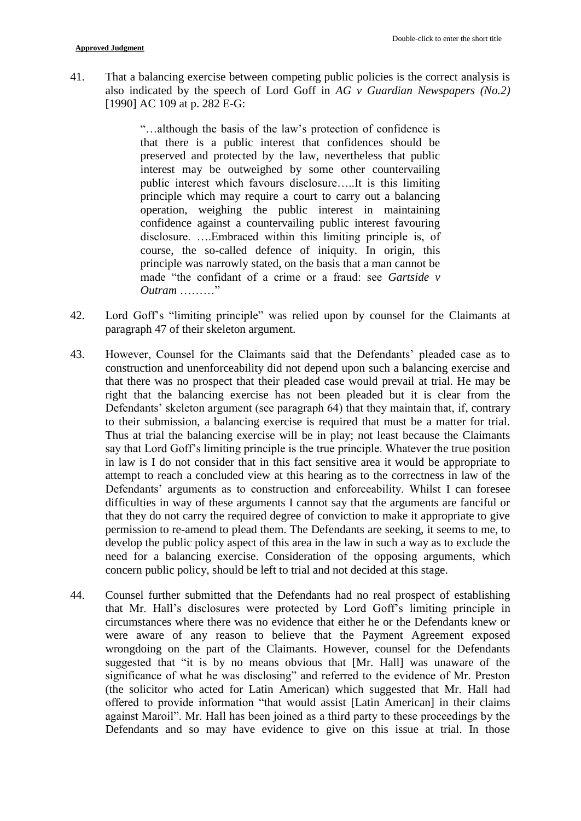41. That a balancing exercise between competing public policies is the correct analysis is also indicated by the speech of Lord Goff in *AG v Guardian Newspapers (No.2)* [1990] AC 109 at p. 282 E-G:

> "…although the basis of the law's protection of confidence is that there is a public interest that confidences should be preserved and protected by the law, nevertheless that public interest may be outweighed by some other countervailing public interest which favours disclosure…..It is this limiting principle which may require a court to carry out a balancing operation, weighing the public interest in maintaining confidence against a countervailing public interest favouring disclosure. ….Embraced within this limiting principle is, of course, the so-called defence of iniquity. In origin, this principle was narrowly stated, on the basis that a man cannot be made "the confidant of a crime or a fraud: see *Gartside v Outram* …

- 42. Lord Goff's "limiting principle" was relied upon by counsel for the Claimants at paragraph 47 of their skeleton argument.
- 43. However, Counsel for the Claimants said that the Defendants' pleaded case as to construction and unenforceability did not depend upon such a balancing exercise and that there was no prospect that their pleaded case would prevail at trial. He may be right that the balancing exercise has not been pleaded but it is clear from the Defendants' skeleton argument (see paragraph 64) that they maintain that, if, contrary to their submission, a balancing exercise is required that must be a matter for trial. Thus at trial the balancing exercise will be in play; not least because the Claimants say that Lord Goff's limiting principle is the true principle. Whatever the true position in law is I do not consider that in this fact sensitive area it would be appropriate to attempt to reach a concluded view at this hearing as to the correctness in law of the Defendants' arguments as to construction and enforceability. Whilst I can foresee difficulties in way of these arguments I cannot say that the arguments are fanciful or that they do not carry the required degree of conviction to make it appropriate to give permission to re-amend to plead them. The Defendants are seeking, it seems to me, to develop the public policy aspect of this area in the law in such a way as to exclude the need for a balancing exercise. Consideration of the opposing arguments, which concern public policy, should be left to trial and not decided at this stage.
- 44. Counsel further submitted that the Defendants had no real prospect of establishing that Mr. Hall's disclosures were protected by Lord Goff's limiting principle in circumstances where there was no evidence that either he or the Defendants knew or were aware of any reason to believe that the Payment Agreement exposed wrongdoing on the part of the Claimants. However, counsel for the Defendants suggested that "it is by no means obvious that [Mr. Hall] was unaware of the significance of what he was disclosing" and referred to the evidence of Mr. Preston (the solicitor who acted for Latin American) which suggested that Mr. Hall had offered to provide information "that would assist [Latin American] in their claims against Maroil". Mr. Hall has been joined as a third party to these proceedings by the Defendants and so may have evidence to give on this issue at trial. In those